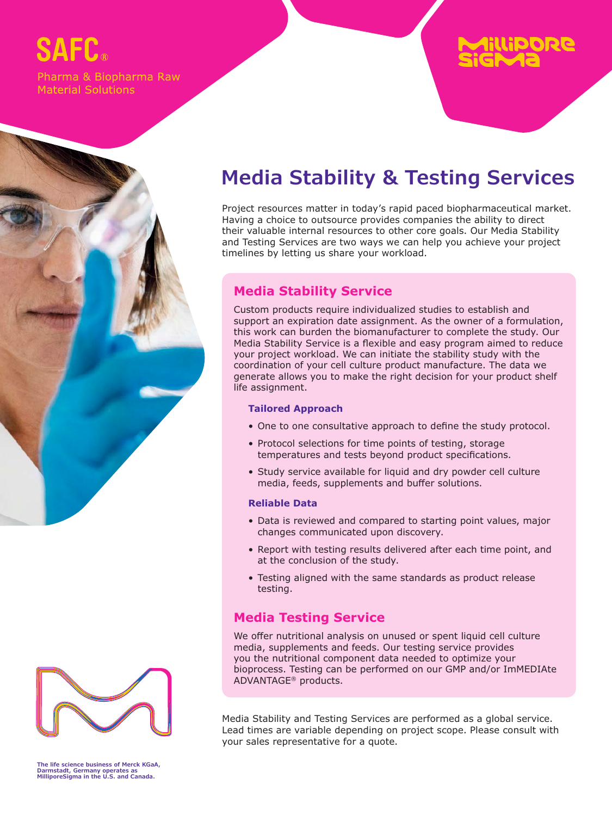# SAFP.

Pharma & Biopharma Raw **Material Solutions** 

## **Media Stability & Testing Services**

Project resources matter in today's rapid paced biopharmaceutical market. Having a choice to outsource provides companies the ability to direct their valuable internal resources to other core goals. Our Media Stability and Testing Services are two ways we can help you achieve your project timelines by letting us share your workload.

#### **Media Stability Service**

Custom products require individualized studies to establish and support an expiration date assignment. As the owner of a formulation, this work can burden the biomanufacturer to complete the study. Our Media Stability Service is a flexible and easy program aimed to reduce your project workload. We can initiate the stability study with the coordination of your cell culture product manufacture. The data we generate allows you to make the right decision for your product shelf life assignment.

#### **Tailored Approach**

- One to one consultative approach to define the study protocol.
- Protocol selections for time points of testing, storage temperatures and tests beyond product specifications.
- Study service available for liquid and dry powder cell culture media, feeds, supplements and buffer solutions.

#### **Reliable Data**

- Data is reviewed and compared to starting point values, major changes communicated upon discovery.
- Report with testing results delivered after each time point, and at the conclusion of the study.
- Testing aligned with the same standards as product release testing.

### **Media Testing Service**

We offer nutritional analysis on unused or spent liquid cell culture media, supplements and feeds. Our testing service provides you the nutritional component data needed to optimize your bioprocess. Testing can be performed on our GMP and/or ImMEDIAte ADVANTAGE® products.

Media Stability and Testing Services are performed as a global service. Lead times are variable depending on project scope. Please consult with your sales representative for a quote.

**The life science business of Merck KGaA, Darmstadt, Germany operates as MilliporeSigma in the U.S. and Canada.**